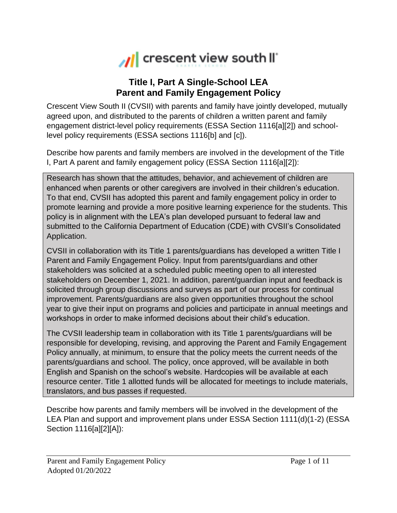

## **Title I, Part A Single-School LEA Parent and Family Engagement Policy**

Crescent View South II (CVSII) with parents and family have jointly developed, mutually agreed upon, and distributed to the parents of children a written parent and family engagement district-level policy requirements (ESSA Section 1116[a][2]) and schoollevel policy requirements (ESSA sections 1116[b] and [c]).

Describe how parents and family members are involved in the development of the Title I, Part A parent and family engagement policy (ESSA Section 1116[a][2]):

Research has shown that the attitudes, behavior, and achievement of children are enhanced when parents or other caregivers are involved in their children's education. To that end, CVSII has adopted this parent and family engagement policy in order to promote learning and provide a more positive learning experience for the students. This policy is in alignment with the LEA's plan developed pursuant to federal law and submitted to the California Department of Education (CDE) with CVSII's Consolidated Application.

CVSII in collaboration with its Title 1 parents/guardians has developed a written Title I Parent and Family Engagement Policy. Input from parents/guardians and other stakeholders was solicited at a scheduled public meeting open to all interested stakeholders on December 1, 2021. In addition, parent/guardian input and feedback is solicited through group discussions and surveys as part of our process for continual improvement. Parents/guardians are also given opportunities throughout the school year to give their input on programs and policies and participate in annual meetings and workshops in order to make informed decisions about their child's education.

The CVSII leadership team in collaboration with its Title 1 parents/guardians will be responsible for developing, revising, and approving the Parent and Family Engagement Policy annually, at minimum, to ensure that the policy meets the current needs of the parents/guardians and school. The policy, once approved, will be available in both English and Spanish on the school's website. Hardcopies will be available at each resource center. Title 1 allotted funds will be allocated for meetings to include materials, translators, and bus passes if requested.

Describe how parents and family members will be involved in the development of the LEA Plan and support and improvement plans under ESSA Section 1111(d)(1-2) (ESSA Section 1116[a][2][A]):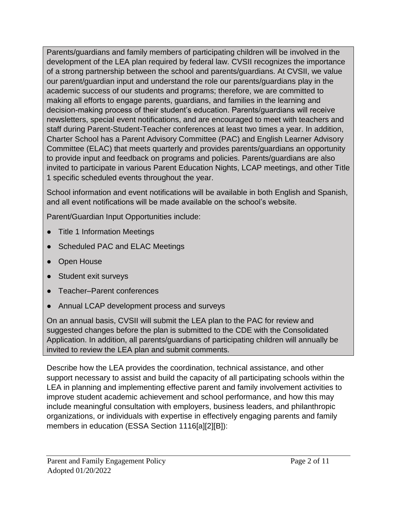Parents/guardians and family members of participating children will be involved in the development of the LEA plan required by federal law. CVSII recognizes the importance of a strong partnership between the school and parents/guardians. At CVSII, we value our parent/guardian input and understand the role our parents/guardians play in the academic success of our students and programs; therefore, we are committed to making all efforts to engage parents, guardians, and families in the learning and decision-making process of their student's education. Parents/guardians will receive newsletters, special event notifications, and are encouraged to meet with teachers and staff during Parent-Student-Teacher conferences at least two times a year. In addition, Charter School has a Parent Advisory Committee (PAC) and English Learner Advisory Committee (ELAC) that meets quarterly and provides parents/guardians an opportunity to provide input and feedback on programs and policies. Parents/guardians are also invited to participate in various Parent Education Nights, LCAP meetings, and other Title 1 specific scheduled events throughout the year.

School information and event notifications will be available in both English and Spanish, and all event notifications will be made available on the school's website.

Parent/Guardian Input Opportunities include:

- Title 1 Information Meetings
- Scheduled PAC and ELAC Meetings
- Open House
- Student exit surveys
- Teacher–Parent conferences
- Annual LCAP development process and surveys

On an annual basis, CVSII will submit the LEA plan to the PAC for review and suggested changes before the plan is submitted to the CDE with the Consolidated Application. In addition, all parents/guardians of participating children will annually be invited to review the LEA plan and submit comments.

Describe how the LEA provides the coordination, technical assistance, and other support necessary to assist and build the capacity of all participating schools within the LEA in planning and implementing effective parent and family involvement activities to improve student academic achievement and school performance, and how this may include meaningful consultation with employers, business leaders, and philanthropic organizations, or individuals with expertise in effectively engaging parents and family members in education (ESSA Section 1116[a][2][B]):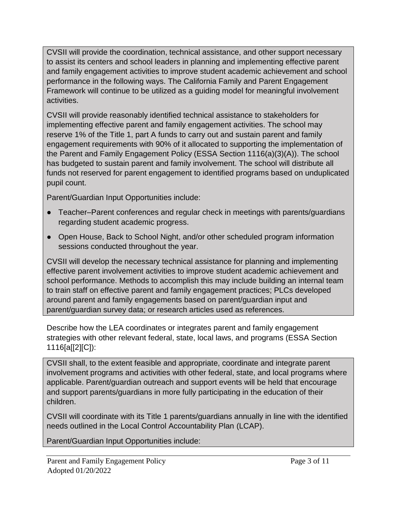CVSII will provide the coordination, technical assistance, and other support necessary to assist its centers and school leaders in planning and implementing effective parent and family engagement activities to improve student academic achievement and school performance in the following ways. The California Family and Parent Engagement Framework will continue to be utilized as a guiding model for meaningful involvement activities.

CVSII will provide reasonably identified technical assistance to stakeholders for implementing effective parent and family engagement activities. The school may reserve 1% of the Title 1, part A funds to carry out and sustain parent and family engagement requirements with 90% of it allocated to supporting the implementation of the Parent and Family Engagement Policy (ESSA Section 1116(a)(3)(A)). The school has budgeted to sustain parent and family involvement. The school will distribute all funds not reserved for parent engagement to identified programs based on unduplicated pupil count.

Parent/Guardian Input Opportunities include:

- Teacher–Parent conferences and regular check in meetings with parents/guardians regarding student academic progress.
- Open House, Back to School Night, and/or other scheduled program information sessions conducted throughout the year.

CVSII will develop the necessary technical assistance for planning and implementing effective parent involvement activities to improve student academic achievement and school performance. Methods to accomplish this may include building an internal team to train staff on effective parent and family engagement practices; PLCs developed around parent and family engagements based on parent/guardian input and parent/guardian survey data; or research articles used as references.

Describe how the LEA coordinates or integrates parent and family engagement strategies with other relevant federal, state, local laws, and programs (ESSA Section 1116[a[[2][C]):

CVSII shall, to the extent feasible and appropriate, coordinate and integrate parent involvement programs and activities with other federal, state, and local programs where applicable. Parent/guardian outreach and support events will be held that encourage and support parents/guardians in more fully participating in the education of their children.

CVSII will coordinate with its Title 1 parents/guardians annually in line with the identified needs outlined in the Local Control Accountability Plan (LCAP).

Parent/Guardian Input Opportunities include: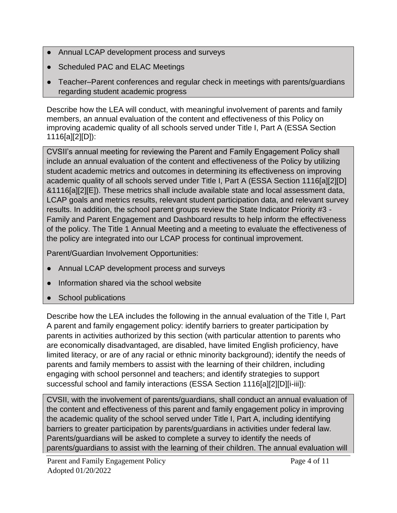- Annual LCAP development process and surveys
- Scheduled PAC and ELAC Meetings
- Teacher–Parent conferences and regular check in meetings with parents/guardians regarding student academic progress

Describe how the LEA will conduct, with meaningful involvement of parents and family members, an annual evaluation of the content and effectiveness of this Policy on improving academic quality of all schools served under Title I, Part A (ESSA Section 1116[a][2][D]):

CVSII's annual meeting for reviewing the Parent and Family Engagement Policy shall include an annual evaluation of the content and effectiveness of the Policy by utilizing student academic metrics and outcomes in determining its effectiveness on improving academic quality of all schools served under Title I, Part A (ESSA Section 1116[a][2][D] &1116[a][2][E]). These metrics shall include available state and local assessment data, LCAP goals and metrics results, relevant student participation data, and relevant survey results. In addition, the school parent groups review the State Indicator Priority #3 - Family and Parent Engagement and Dashboard results to help inform the effectiveness of the policy. The Title 1 Annual Meeting and a meeting to evaluate the effectiveness of the policy are integrated into our LCAP process for continual improvement.

Parent/Guardian Involvement Opportunities:

- Annual LCAP development process and surveys
- Information shared via the school website
- School publications

Describe how the LEA includes the following in the annual evaluation of the Title I, Part A parent and family engagement policy: identify barriers to greater participation by parents in activities authorized by this section (with particular attention to parents who are economically disadvantaged, are disabled, have limited English proficiency, have limited literacy, or are of any racial or ethnic minority background); identify the needs of parents and family members to assist with the learning of their children, including engaging with school personnel and teachers; and identify strategies to support successful school and family interactions (ESSA Section 1116[a][2][D][i-iii]):

CVSII, with the involvement of parents/guardians, shall conduct an annual evaluation of the content and effectiveness of this parent and family engagement policy in improving the academic quality of the school served under Title I, Part A, including identifying barriers to greater participation by parents/guardians in activities under federal law. Parents/guardians will be asked to complete a survey to identify the needs of parents/guardians to assist with the learning of their children. The annual evaluation will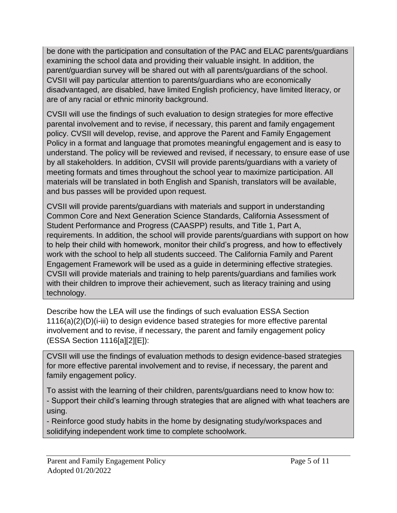be done with the participation and consultation of the PAC and ELAC parents/guardians examining the school data and providing their valuable insight. In addition, the parent/guardian survey will be shared out with all parents/guardians of the school. CVSII will pay particular attention to parents/guardians who are economically disadvantaged, are disabled, have limited English proficiency, have limited literacy, or are of any racial or ethnic minority background.

CVSII will use the findings of such evaluation to design strategies for more effective parental involvement and to revise, if necessary, this parent and family engagement policy. CVSII will develop, revise, and approve the Parent and Family Engagement Policy in a format and language that promotes meaningful engagement and is easy to understand. The policy will be reviewed and revised, if necessary, to ensure ease of use by all stakeholders. In addition, CVSII will provide parents/guardians with a variety of meeting formats and times throughout the school year to maximize participation. All materials will be translated in both English and Spanish, translators will be available, and bus passes will be provided upon request.

CVSII will provide parents/guardians with materials and support in understanding Common Core and Next Generation Science Standards, California Assessment of Student Performance and Progress (CAASPP) results, and Title 1, Part A, requirements. In addition, the school will provide parents/guardians with support on how to help their child with homework, monitor their child's progress, and how to effectively work with the school to help all students succeed. The California Family and Parent Engagement Framework will be used as a guide in determining effective strategies. CVSII will provide materials and training to help parents/guardians and families work with their children to improve their achievement, such as literacy training and using technology.

Describe how the LEA will use the findings of such evaluation ESSA Section 1116(a)(2)(D)(i-iii) to design evidence based strategies for more effective parental involvement and to revise, if necessary, the parent and family engagement policy (ESSA Section 1116[a][2][E]):

CVSII will use the findings of evaluation methods to design evidence-based strategies for more effective parental involvement and to revise, if necessary, the parent and family engagement policy.

To assist with the learning of their children, parents/guardians need to know how to:

- Support their child's learning through strategies that are aligned with what teachers are using.

- Reinforce good study habits in the home by designating study/workspaces and solidifying independent work time to complete schoolwork.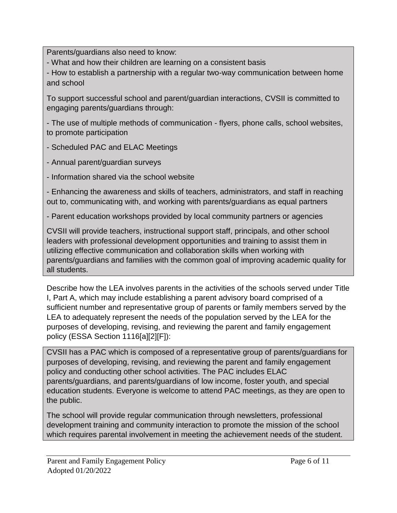Parents/guardians also need to know:

- What and how their children are learning on a consistent basis

- How to establish a partnership with a regular two-way communication between home and school

To support successful school and parent/guardian interactions, CVSII is committed to engaging parents/guardians through:

- The use of multiple methods of communication - flyers, phone calls, school websites, to promote participation

- Scheduled PAC and ELAC Meetings

- Annual parent/guardian surveys

- Information shared via the school website

- Enhancing the awareness and skills of teachers, administrators, and staff in reaching out to, communicating with, and working with parents/guardians as equal partners

- Parent education workshops provided by local community partners or agencies

CVSII will provide teachers, instructional support staff, principals, and other school leaders with professional development opportunities and training to assist them in utilizing effective communication and collaboration skills when working with parents/guardians and families with the common goal of improving academic quality for all students.

Describe how the LEA involves parents in the activities of the schools served under Title I, Part A, which may include establishing a parent advisory board comprised of a sufficient number and representative group of parents or family members served by the LEA to adequately represent the needs of the population served by the LEA for the purposes of developing, revising, and reviewing the parent and family engagement policy (ESSA Section 1116[a][2][F]):

CVSII has a PAC which is composed of a representative group of parents/guardians for purposes of developing, revising, and reviewing the parent and family engagement policy and conducting other school activities. The PAC includes ELAC parents/guardians, and parents/guardians of low income, foster youth, and special education students. Everyone is welcome to attend PAC meetings, as they are open to the public.

The school will provide regular communication through newsletters, professional development training and community interaction to promote the mission of the school which requires parental involvement in meeting the achievement needs of the student.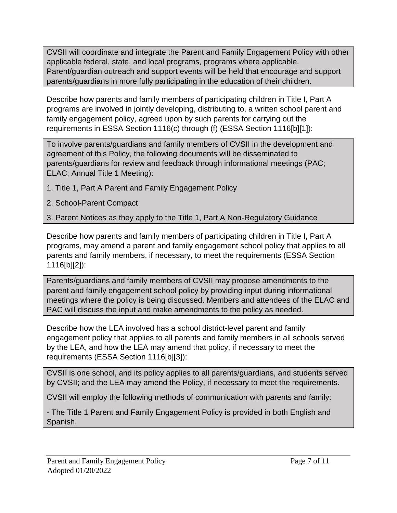CVSII will coordinate and integrate the Parent and Family Engagement Policy with other applicable federal, state, and local programs, programs where applicable. Parent/guardian outreach and support events will be held that encourage and support parents/guardians in more fully participating in the education of their children.

Describe how parents and family members of participating children in Title I, Part A programs are involved in jointly developing, distributing to, a written school parent and family engagement policy, agreed upon by such parents for carrying out the requirements in ESSA Section 1116(c) through (f) (ESSA Section 1116[b][1]):

To involve parents/guardians and family members of CVSII in the development and agreement of this Policy, the following documents will be disseminated to parents/guardians for review and feedback through informational meetings (PAC; ELAC; Annual Title 1 Meeting):

- 1. Title 1, Part A Parent and Family Engagement Policy
- 2. School-Parent Compact

3. Parent Notices as they apply to the Title 1, Part A Non-Regulatory Guidance

Describe how parents and family members of participating children in Title I, Part A programs, may amend a parent and family engagement school policy that applies to all parents and family members, if necessary, to meet the requirements (ESSA Section 1116[b][2]):

Parents/guardians and family members of CVSII may propose amendments to the parent and family engagement school policy by providing input during informational meetings where the policy is being discussed. Members and attendees of the ELAC and PAC will discuss the input and make amendments to the policy as needed.

Describe how the LEA involved has a school district-level parent and family engagement policy that applies to all parents and family members in all schools served by the LEA, and how the LEA may amend that policy, if necessary to meet the requirements (ESSA Section 1116[b][3]):

CVSII is one school, and its policy applies to all parents/guardians, and students served by CVSII; and the LEA may amend the Policy, if necessary to meet the requirements.

CVSII will employ the following methods of communication with parents and family:

- The Title 1 Parent and Family Engagement Policy is provided in both English and Spanish.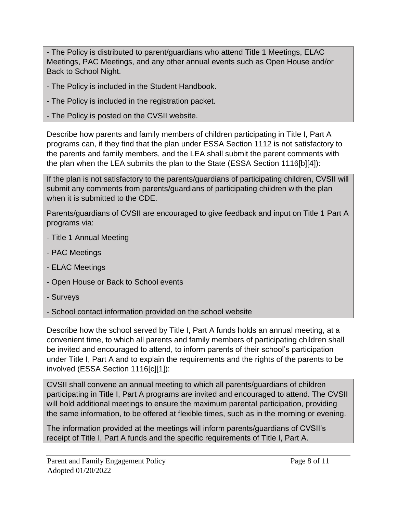- The Policy is distributed to parent/guardians who attend Title 1 Meetings, ELAC Meetings, PAC Meetings, and any other annual events such as Open House and/or Back to School Night.

- The Policy is included in the Student Handbook.
- The Policy is included in the registration packet.
- The Policy is posted on the CVSII website.

Describe how parents and family members of children participating in Title I, Part A programs can, if they find that the plan under ESSA Section 1112 is not satisfactory to the parents and family members, and the LEA shall submit the parent comments with the plan when the LEA submits the plan to the State (ESSA Section 1116[b][4]):

If the plan is not satisfactory to the parents/guardians of participating children, CVSII will submit any comments from parents/guardians of participating children with the plan when it is submitted to the CDE.

Parents/guardians of CVSII are encouraged to give feedback and input on Title 1 Part A programs via:

- Title 1 Annual Meeting
- PAC Meetings
- ELAC Meetings
- Open House or Back to School events
- Surveys
- School contact information provided on the school website

Describe how the school served by Title I, Part A funds holds an annual meeting, at a convenient time, to which all parents and family members of participating children shall be invited and encouraged to attend, to inform parents of their school's participation under Title I, Part A and to explain the requirements and the rights of the parents to be involved (ESSA Section 1116[c][1]):

CVSII shall convene an annual meeting to which all parents/guardians of children participating in Title I, Part A programs are invited and encouraged to attend. The CVSII will hold additional meetings to ensure the maximum parental participation, providing the same information, to be offered at flexible times, such as in the morning or evening.

The information provided at the meetings will inform parents/guardians of CVSII's receipt of Title I, Part A funds and the specific requirements of Title I, Part A.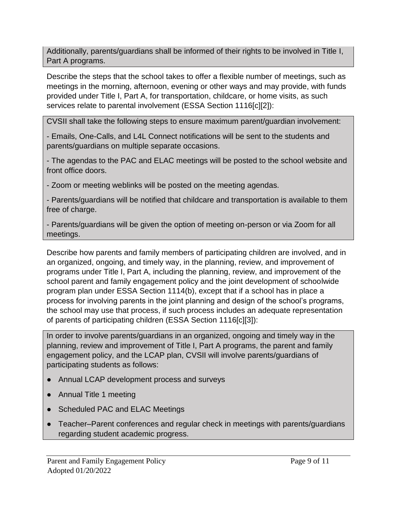Additionally, parents/guardians shall be informed of their rights to be involved in Title I, Part A programs.

Describe the steps that the school takes to offer a flexible number of meetings, such as meetings in the morning, afternoon, evening or other ways and may provide, with funds provided under Title I, Part A, for transportation, childcare, or home visits, as such services relate to parental involvement (ESSA Section 1116[c][2]):

CVSII shall take the following steps to ensure maximum parent/guardian involvement:

- Emails, One-Calls, and L4L Connect notifications will be sent to the students and parents/guardians on multiple separate occasions.

- The agendas to the PAC and ELAC meetings will be posted to the school website and front office doors.

- Zoom or meeting weblinks will be posted on the meeting agendas.

- Parents/guardians will be notified that childcare and transportation is available to them free of charge.

- Parents/guardians will be given the option of meeting on-person or via Zoom for all meetings.

Describe how parents and family members of participating children are involved, and in an organized, ongoing, and timely way, in the planning, review, and improvement of programs under Title I, Part A, including the planning, review, and improvement of the school parent and family engagement policy and the joint development of schoolwide program plan under ESSA Section 1114(b), except that if a school has in place a process for involving parents in the joint planning and design of the school's programs, the school may use that process, if such process includes an adequate representation of parents of participating children (ESSA Section 1116[c][3]):

In order to involve parents/guardians in an organized, ongoing and timely way in the planning, review and improvement of Title I, Part A programs, the parent and family engagement policy, and the LCAP plan, CVSII will involve parents/guardians of participating students as follows:

- Annual LCAP development process and surveys
- Annual Title 1 meeting
- Scheduled PAC and ELAC Meetings
- Teacher–Parent conferences and regular check in meetings with parents/guardians regarding student academic progress.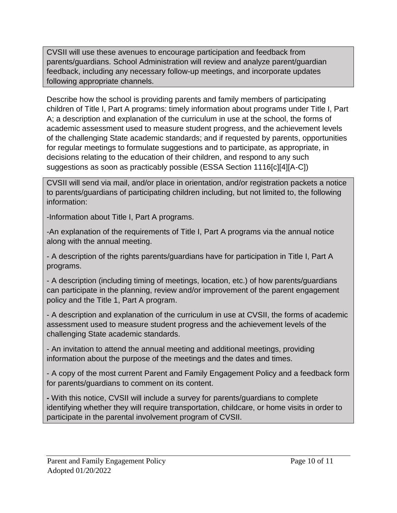CVSII will use these avenues to encourage participation and feedback from parents/guardians. School Administration will review and analyze parent/guardian feedback, including any necessary follow-up meetings, and incorporate updates following appropriate channels.

Describe how the school is providing parents and family members of participating children of Title I, Part A programs: timely information about programs under Title I, Part A; a description and explanation of the curriculum in use at the school, the forms of academic assessment used to measure student progress, and the achievement levels of the challenging State academic standards; and if requested by parents, opportunities for regular meetings to formulate suggestions and to participate, as appropriate, in decisions relating to the education of their children, and respond to any such suggestions as soon as practicably possible (ESSA Section 1116[c][4][A-C])

CVSII will send via mail, and/or place in orientation, and/or registration packets a notice to parents/guardians of participating children including, but not limited to, the following information:

-Information about Title I, Part A programs.

-An explanation of the requirements of Title I, Part A programs via the annual notice along with the annual meeting.

- A description of the rights parents/guardians have for participation in Title I, Part A programs.

- A description (including timing of meetings, location, etc.) of how parents/guardians can participate in the planning, review and/or improvement of the parent engagement policy and the Title 1, Part A program.

- A description and explanation of the curriculum in use at CVSII, the forms of academic assessment used to measure student progress and the achievement levels of the challenging State academic standards.

- An invitation to attend the annual meeting and additional meetings, providing information about the purpose of the meetings and the dates and times.

- A copy of the most current Parent and Family Engagement Policy and a feedback form for parents/guardians to comment on its content.

**-** With this notice, CVSII will include a survey for parents/guardians to complete identifying whether they will require transportation, childcare, or home visits in order to participate in the parental involvement program of CVSII.